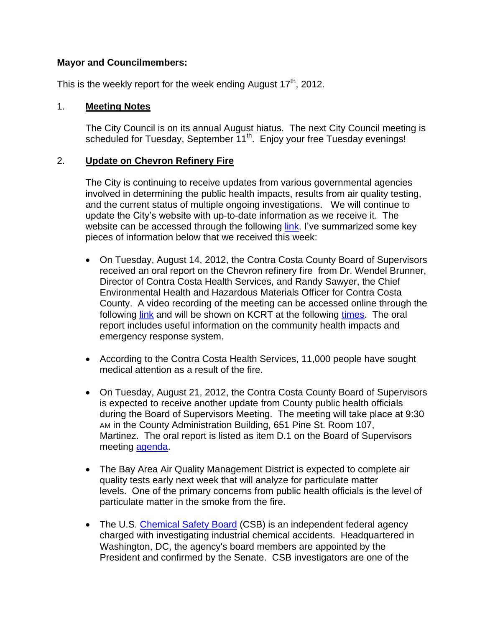# **Mayor and Councilmembers:**

This is the weekly report for the week ending August  $17<sup>th</sup>$ , 2012.

# 1. **Meeting Notes**

The City Council is on its annual August hiatus. The next City Council meeting is scheduled for Tuesday, September 11<sup>th</sup>. Enjoy your free Tuesday evenings!

# 2. **Update on Chevron Refinery Fire**

The City is continuing to receive updates from various governmental agencies involved in determining the public health impacts, results from air quality testing, and the current status of multiple ongoing investigations. We will continue to update the City's website with up-to-date information as we receive it. The website can be accessed through the following [link.](http://www.ci.richmond.ca.us/chevronrefineryfire2012) I've summarized some key pieces of information below that we received this week:

- On Tuesday, August 14, 2012, the Contra Costa County Board of Supervisors received an oral report on the Chevron refinery fire from Dr. Wendel Brunner, Director of Contra Costa Health Services, and Randy Sawyer, the Chief Environmental Health and Hazardous Materials Officer for Contra Costa County. A [video recording](http://richmond.granicus.com/MediaPlayer.php?publish_id=107) of the meeting can be accessed online through the following [link](http://richmond.granicus.com/MediaPlayer.php?publish_id=107) and will be shown on KCRT at the following [times.](http://www.ci.richmond.ca.us/DocumentView.aspx?DID=9136) The oral report includes useful information on the community health impacts and emergency response system.
- According to the Contra Costa Health Services, 11,000 people have sought medical attention as a result of the fire.
- On Tuesday, August 21, 2012, the Contra Costa County Board of Supervisors is expected to receive another update from County public health officials during the Board of Supervisors Meeting. The meeting will take place at 9:30 AM in the County Administration Building, 651 Pine St. Room 107, Martinez. The oral report is listed as item D.1 on the Board of Supervisors meeting [agenda.](http://64.166.146.155/agenda_publish.cfm?mt=ALL&get_month=8&get_year=2012&dsp=ag&seq=236#ReturnTo0)
- The Bay Area Air Quality Management District is expected to complete air quality tests early next week that will analyze for particulate matter levels. One of the primary concerns from public health officials is the level of particulate matter in the smoke from the fire.
- The U.S. [Chemical Safety Board](http://www.csb.gov/) (CSB) is an independent federal agency charged with investigating industrial chemical accidents. Headquartered in Washington, DC, the agency's board members are appointed by the President and confirmed by the Senate. CSB investigators are one of the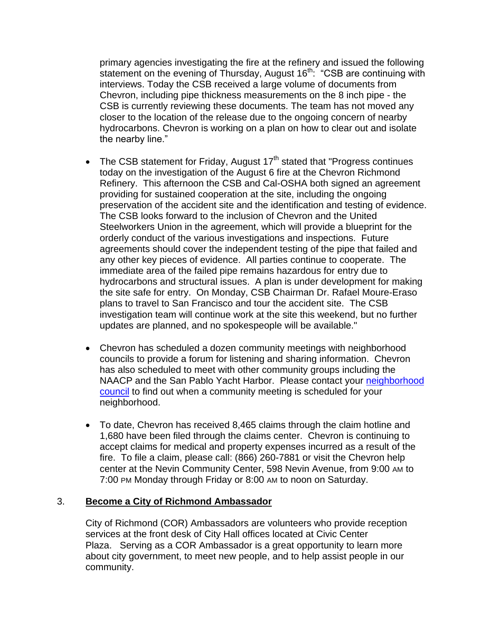primary agencies investigating the fire at the refinery and issued the following statement on the evening of Thursday, August  $16<sup>th</sup>$ : "CSB are continuing with interviews. Today the CSB received a large volume of documents from Chevron, including pipe thickness measurements on the 8 inch pipe - the CSB is currently reviewing these documents. The team has not moved any closer to the location of the release due to the ongoing concern of nearby hydrocarbons. Chevron is working on a plan on how to clear out and isolate the nearby line."

- The CSB statement for Friday, August  $17<sup>th</sup>$  stated that "Progress continues today on the investigation of the August 6 fire at the Chevron Richmond Refinery. This afternoon the CSB and Cal-OSHA both signed an agreement providing for sustained cooperation at the site, including the ongoing preservation of the accident site and the identification and testing of evidence. The CSB looks forward to the inclusion of Chevron and the United Steelworkers Union in the agreement, which will provide a blueprint for the orderly conduct of the various investigations and inspections. Future agreements should cover the independent testing of the pipe that failed and any other key pieces of evidence. All parties continue to cooperate. The immediate area of the failed pipe remains hazardous for entry due to hydrocarbons and structural issues. A plan is under development for making the site safe for entry. On Monday, CSB Chairman Dr. Rafael Moure-Eraso plans to travel to San Francisco and tour the accident site. The CSB investigation team will continue work at the site this weekend, but no further updates are planned, and no spokespeople will be available."
- Chevron has scheduled a dozen community meetings with neighborhood councils to provide a forum for listening and sharing information. Chevron has also scheduled to meet with other community groups including the NAACP and the San Pablo Yacht Harbor. Please contact your [neighborhood](http://richmondneighbors.org/about/members/)  [council](http://richmondneighbors.org/about/members/) to find out when a community meeting is scheduled for your neighborhood.
- To date, Chevron has received 8,465 claims through the claim hotline and 1,680 have been filed through the claims center. Chevron is continuing to accept claims for medical and property expenses incurred as a result of the fire. To file a claim, please call: (866) 260-7881 or visit the Chevron help center at the Nevin Community Center, 598 Nevin Avenue, from 9:00 AM to 7:00 PM Monday through Friday or 8:00 AM to noon on Saturday.

## 3. **Become a City of Richmond Ambassador**

City of Richmond (COR) Ambassadors are volunteers who provide reception services at the front desk of City Hall offices located at Civic Center Plaza. Serving as a COR Ambassador is a great opportunity to learn more about city government, to meet new people, and to help assist people in our community.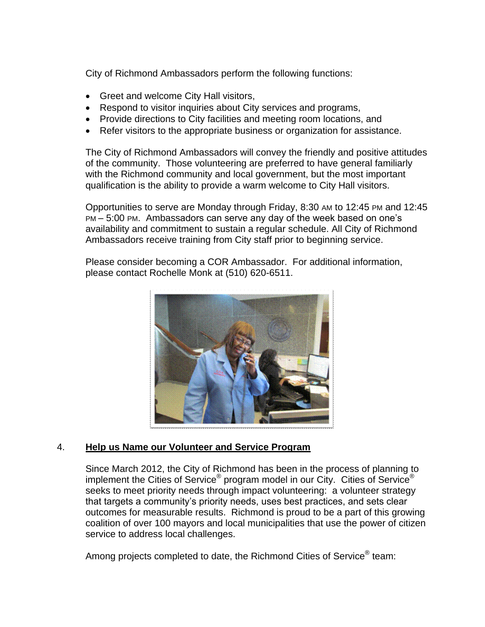City of Richmond Ambassadors perform the following functions:

- Greet and welcome City Hall visitors,
- Respond to visitor inquiries about City services and programs,
- Provide directions to City facilities and meeting room locations, and
- Refer visitors to the appropriate business or organization for assistance.

The City of Richmond Ambassadors will convey the friendly and positive attitudes of the community. Those volunteering are preferred to have general familiarly with the Richmond community and local government, but the most important qualification is the ability to provide a warm welcome to City Hall visitors.

Opportunities to serve are Monday through Friday, 8:30 AM to 12:45 PM and 12:45 PM – 5:00 PM. Ambassadors can serve any day of the week based on one's availability and commitment to sustain a regular schedule. All City of Richmond Ambassadors receive training from City staff prior to beginning service.

Please consider becoming a COR Ambassador. For additional information, please contact Rochelle Monk at (510) 620-6511.



# 4. **Help us Name our Volunteer and Service Program**

Since March 2012, the City of Richmond has been in the process of planning to implement the Cities of Service® program model in our City. Cities of Service® seeks to meet priority needs through impact volunteering: a volunteer strategy that targets a community's priority needs, uses best practices, and sets clear outcomes for measurable results. Richmond is proud to be a part of this growing coalition of over 100 mayors and local municipalities that use the power of citizen service to address local challenges.

Among projects completed to date, the Richmond Cities of Service® team: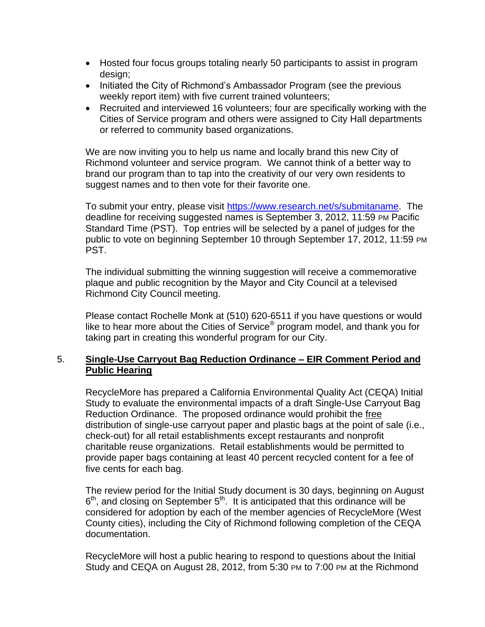- Hosted four focus groups totaling nearly 50 participants to assist in program design;
- Initiated the City of Richmond's Ambassador Program (see the previous weekly report item) with five current trained volunteers;
- Recruited and interviewed 16 volunteers; four are specifically working with the Cities of Service program and others were assigned to City Hall departments or referred to community based organizations.

We are now inviting you to help us name and locally brand this new City of Richmond volunteer and service program. We cannot think of a better way to brand our program than to tap into the creativity of our very own residents to suggest names and to then vote for their favorite one.

To submit your entry, please visit [https://www.research.net/s/submitaname.](https://www.research.net/s/submitaname) The deadline for receiving suggested names is September 3, 2012, 11:59 PM Pacific Standard Time (PST). Top entries will be selected by a panel of judges for the public to vote on beginning September 10 through September 17, 2012, 11:59 PM PST.

The individual submitting the winning suggestion will receive a commemorative plaque and public recognition by the Mayor and City Council at a televised Richmond City Council meeting.

Please contact Rochelle Monk at (510) 620-6511 if you have questions or would like to hear more about the Cities of Service® program model, and thank you for taking part in creating this wonderful program for our City.

# 5. **Single-Use Carryout Bag Reduction Ordinance – EIR Comment Period and Public Hearing**

RecycleMore has prepared a California Environmental Quality Act (CEQA) Initial Study to evaluate the environmental impacts of a draft Single-Use Carryout Bag Reduction Ordinance. The proposed ordinance would prohibit the free distribution of single-use carryout paper and plastic bags at the point of sale (i.e., check-out) for all retail establishments except restaurants and nonprofit charitable reuse organizations. Retail establishments would be permitted to provide paper bags containing at least 40 percent recycled content for a fee of five cents for each bag.

The review period for the Initial Study document is 30 days, beginning on August  $6<sup>th</sup>$ , and closing on September  $5<sup>th</sup>$ . It is anticipated that this ordinance will be considered for adoption by each of the member agencies of RecycleMore (West County cities), including the City of Richmond following completion of the CEQA documentation.

RecycleMore will host a public hearing to respond to questions about the Initial Study and CEQA on August 28, 2012, from 5:30 PM to 7:00 PM at the Richmond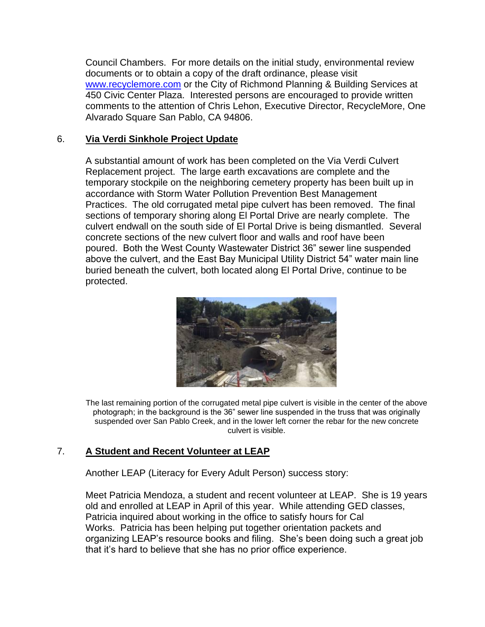Council Chambers. For more details on the initial study, environmental review documents or to obtain a copy of the draft ordinance, please visit [www.recyclemore.com](http://www.recyclemore.com/) or the City of Richmond Planning & Building Services at 450 Civic Center Plaza. Interested persons are encouraged to provide written comments to the attention of Chris Lehon, Executive Director, RecycleMore, One Alvarado Square San Pablo, CA 94806.

# 6. **Via Verdi Sinkhole Project Update**

A substantial amount of work has been completed on the Via Verdi Culvert Replacement project. The large earth excavations are complete and the temporary stockpile on the neighboring cemetery property has been built up in accordance with Storm Water Pollution Prevention Best Management Practices. The old corrugated metal pipe culvert has been removed. The final sections of temporary shoring along El Portal Drive are nearly complete. The culvert endwall on the south side of El Portal Drive is being dismantled. Several concrete sections of the new culvert floor and walls and roof have been poured. Both the West County Wastewater District 36" sewer line suspended above the culvert, and the East Bay Municipal Utility District 54" water main line buried beneath the culvert, both located along El Portal Drive, continue to be protected.



The last remaining portion of the corrugated metal pipe culvert is visible in the center of the above photograph; in the background is the 36" sewer line suspended in the truss that was originally suspended over San Pablo Creek, and in the lower left corner the rebar for the new concrete culvert is visible.

## 7. **A Student and Recent Volunteer at LEAP**

Another LEAP (Literacy for Every Adult Person) success story:

Meet Patricia Mendoza, a student and recent volunteer at LEAP. She is 19 years old and enrolled at LEAP in April of this year. While attending GED classes, Patricia inquired about working in the office to satisfy hours for Cal Works. Patricia has been helping put together orientation packets and organizing LEAP's resource books and filing. She's been doing such a great job that it's hard to believe that she has no prior office experience.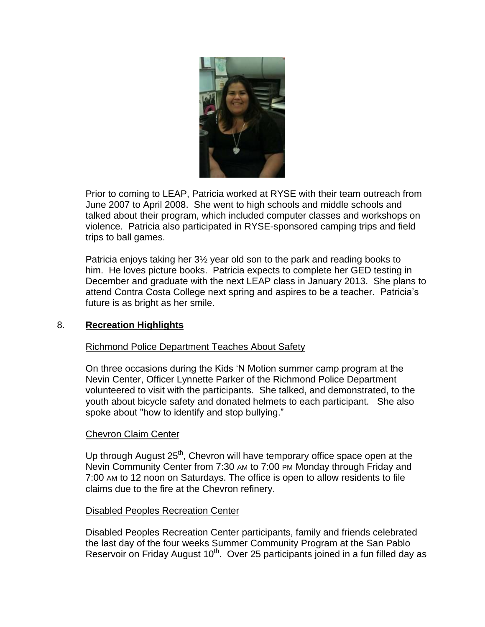

Prior to coming to LEAP, Patricia worked at RYSE with their team outreach from June 2007 to April 2008. She went to high schools and middle schools and talked about their program, which included computer classes and workshops on violence. Patricia also participated in RYSE-sponsored camping trips and field trips to ball games.

Patricia enjoys taking her 3½ year old son to the park and reading books to him. He loves picture books. Patricia expects to complete her GED testing in December and graduate with the next LEAP class in January 2013. She plans to attend Contra Costa College next spring and aspires to be a teacher. Patricia's future is as bright as her smile.

## 8. **Recreation Highlights**

## Richmond Police Department Teaches About Safety

On three occasions during the Kids 'N Motion summer camp program at the Nevin Center, Officer Lynnette Parker of the Richmond Police Department volunteered to visit with the participants. She talked, and demonstrated, to the youth about bicycle safety and donated helmets to each participant. She also spoke about "how to identify and stop bullying."

## Chevron Claim Center

Up through August  $25<sup>th</sup>$ , Chevron will have temporary office space open at the Nevin Community Center from 7:30 AM to 7:00 PM Monday through Friday and 7:00 AM to 12 noon on Saturdays. The office is open to allow residents to file claims due to the fire at the Chevron refinery.

## Disabled Peoples Recreation Center

Disabled Peoples Recreation Center participants, family and friends celebrated the last day of the four weeks Summer Community Program at the San Pablo Reservoir on Friday August  $10<sup>th</sup>$ . Over 25 participants joined in a fun filled day as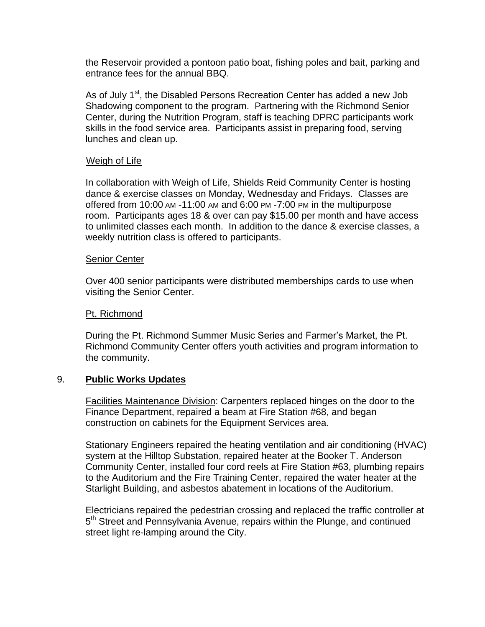the Reservoir provided a pontoon patio boat, fishing poles and bait, parking and entrance fees for the annual BBQ.

As of July 1<sup>st</sup>, the Disabled Persons Recreation Center has added a new Job Shadowing component to the program. Partnering with the Richmond Senior Center, during the Nutrition Program, staff is teaching DPRC participants work skills in the food service area. Participants assist in preparing food, serving lunches and clean up.

#### Weigh of Life

In collaboration with Weigh of Life, Shields Reid Community Center is hosting dance & exercise classes on Monday, Wednesday and Fridays. Classes are offered from 10:00 AM -11:00 AM and 6:00 PM -7:00 PM in the multipurpose room. Participants ages 18 & over can pay \$15.00 per month and have access to unlimited classes each month. In addition to the dance & exercise classes, a weekly nutrition class is offered to participants.

#### Senior Center

Over 400 senior participants were distributed memberships cards to use when visiting the Senior Center.

#### Pt. Richmond

During the Pt. Richmond Summer Music Series and Farmer's Market, the Pt. Richmond Community Center offers youth activities and program information to the community.

#### 9. **Public Works Updates**

Facilities Maintenance Division: Carpenters replaced hinges on the door to the Finance Department, repaired a beam at Fire Station #68, and began construction on cabinets for the Equipment Services area.

Stationary Engineers repaired the heating ventilation and air conditioning (HVAC) system at the Hilltop Substation, repaired heater at the Booker T. Anderson Community Center, installed four cord reels at Fire Station #63, plumbing repairs to the Auditorium and the Fire Training Center, repaired the water heater at the Starlight Building, and asbestos abatement in locations of the Auditorium.

Electricians repaired the pedestrian crossing and replaced the traffic controller at 5<sup>th</sup> Street and Pennsylvania Avenue, repairs within the Plunge, and continued street light re-lamping around the City.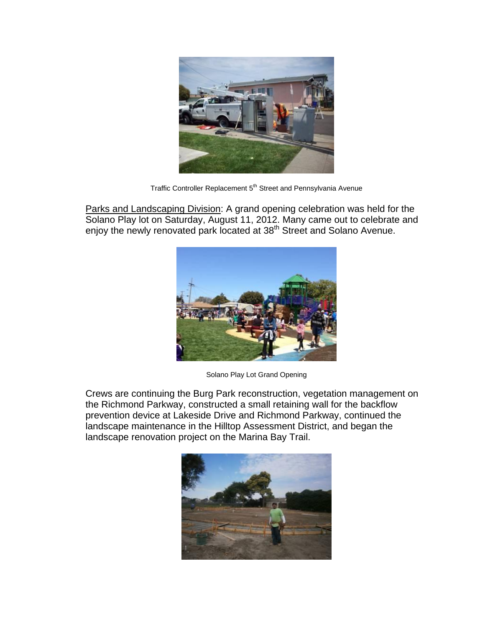

Traffic Controller Replacement 5<sup>th</sup> Street and Pennsylvania Avenue

Parks and Landscaping Division: A grand opening celebration was held for the Solano Play lot on Saturday, August 11, 2012. Many came out to celebrate and enjoy the newly renovated park located at 38<sup>th</sup> Street and Solano Avenue.



Solano Play Lot Grand Opening

Crews are continuing the Burg Park reconstruction, vegetation management on the Richmond Parkway, constructed a small retaining wall for the backflow prevention device at Lakeside Drive and Richmond Parkway, continued the landscape maintenance in the Hilltop Assessment District, and began the landscape renovation project on the Marina Bay Trail.